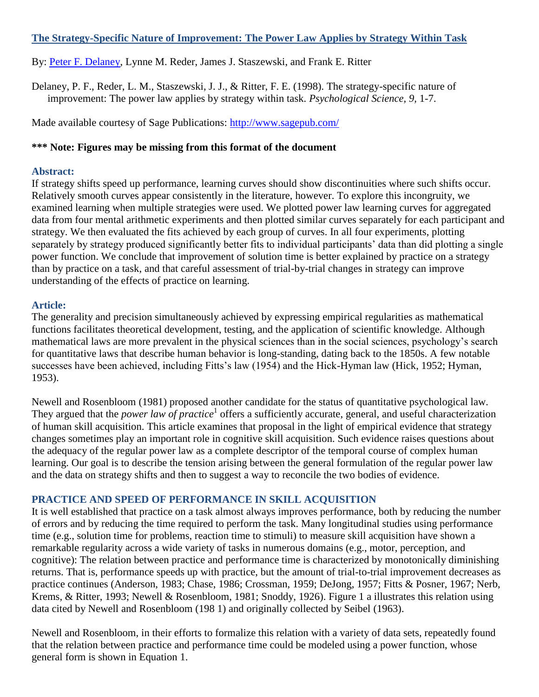## **The Strategy-Specific Nature of Improvement: The Power Law Applies by Strategy Within Task**

By: [Peter F. Delaney,](http://libres.uncg.edu/ir/uncg/clist.aspx?id=173) Lynne M. Reder, James J. Staszewski, and Frank E. Ritter

Delaney, P. F., Reder, L. M., Staszewski, J. J., & Ritter, F. E. (1998). The strategy-specific nature of improvement: The power law applies by strategy within task. *Psychological Science, 9,* 1-7.

Made available courtesy of Sage Publications:<http://www.sagepub.com/>

#### **\*\*\* Note: Figures may be missing from this format of the document**

#### **Abstract:**

If strategy shifts speed up performance, learning curves should show discontinuities where such shifts occur. Relatively smooth curves appear consistently in the literature, however. To explore this incongruity, we examined learning when multiple strategies were used. We plotted power law learning curves for aggregated data from four mental arithmetic experiments and then plotted similar curves separately for each participant and strategy. We then evaluated the fits achieved by each group of curves. In all four experiments, plotting separately by strategy produced significantly better fits to individual participants' data than did plotting a single power function. We conclude that improvement of solution time is better explained by practice on a strategy than by practice on a task, and that careful assessment of trial-by-trial changes in strategy can improve understanding of the effects of practice on learning.

#### **Article:**

The generality and precision simultaneously achieved by expressing empirical regularities as mathematical functions facilitates theoretical development, testing, and the application of scientific knowledge. Although mathematical laws are more prevalent in the physical sciences than in the social sciences, psychology's search for quantitative laws that describe human behavior is long-standing, dating back to the 1850s. A few notable successes have been achieved, including Fitts's law (1954) and the Hick-Hyman law (Hick, 1952; Hyman, 1953).

Newell and Rosenbloom (1981) proposed another candidate for the status of quantitative psychological law. They argued that the *power law of practice*<sup>1</sup> offers a sufficiently accurate, general, and useful characterization of human skill acquisition. This article examines that proposal in the light of empirical evidence that strategy changes sometimes play an important role in cognitive skill acquisition. Such evidence raises questions about the adequacy of the regular power law as a complete descriptor of the temporal course of complex human learning. Our goal is to describe the tension arising between the general formulation of the regular power law and the data on strategy shifts and then to suggest a way to reconcile the two bodies of evidence.

#### **PRACTICE AND SPEED OF PERFORMANCE IN SKILL ACQUISITION**

It is well established that practice on a task almost always improves performance, both by reducing the number of errors and by reducing the time required to perform the task. Many longitudinal studies using performance time (e.g., solution time for problems, reaction time to stimuli) to measure skill acquisition have shown a remarkable regularity across a wide variety of tasks in numerous domains (e.g., motor, perception, and cognitive): The relation between practice and performance time is characterized by monotonically diminishing returns. That is, performance speeds up with practice, but the amount of trial-to-trial improvement decreases as practice continues (Anderson, 1983; Chase, 1986; Crossman, 1959; DeJong, 1957; Fitts & Posner, 1967; Nerb, Krems, & Ritter, 1993; Newell & Rosenbloom, 1981; Snoddy, 1926). Figure 1 a illustrates this relation using data cited by Newell and Rosenbloom (198 1) and originally collected by Seibel (1963).

Newell and Rosenbloom, in their efforts to formalize this relation with a variety of data sets, repeatedly found that the relation between practice and performance time could be modeled using a power function, whose general form is shown in Equation 1.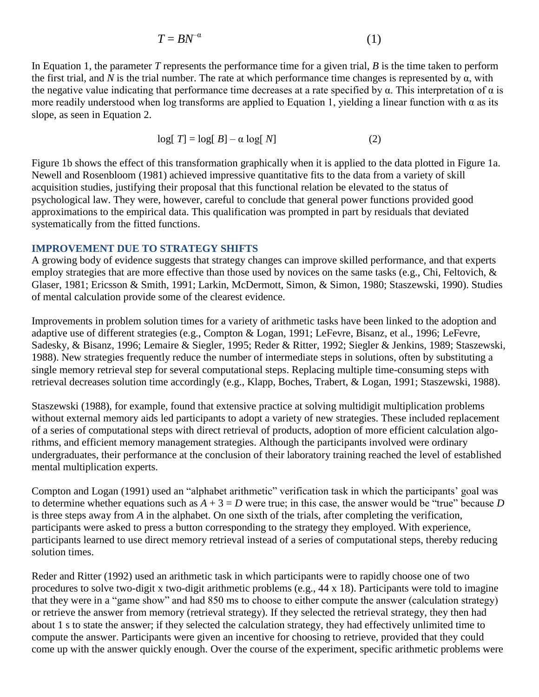$$
T = BN^{-\alpha} \tag{1}
$$

In Equation 1, the parameter *T* represents the performance time for a given trial, *B* is the time taken to perform the first trial, and *N* is the trial number. The rate at which performance time changes is represented by  $\alpha$ , with the negative value indicating that performance time decreases at a rate specified by  $\alpha$ . This interpretation of  $\alpha$  is more readily understood when log transforms are applied to Equation 1, yielding a linear function with  $\alpha$  as its slope, as seen in Equation 2.

$$
log[ T] = log[ B] - \alpha log[ N]
$$
 (2)

Figure 1b shows the effect of this transformation graphically when it is applied to the data plotted in Figure 1a. Newell and Rosenbloom (1981) achieved impressive quantitative fits to the data from a variety of skill acquisition studies, justifying their proposal that this functional relation be elevated to the status of psychological law. They were, however, careful to conclude that general power functions provided good approximations to the empirical data. This qualification was prompted in part by residuals that deviated systematically from the fitted functions.

#### **IMPROVEMENT DUE TO STRATEGY SHIFTS**

A growing body of evidence suggests that strategy changes can improve skilled performance, and that experts employ strategies that are more effective than those used by novices on the same tasks (e.g., Chi, Feltovich, & Glaser, 1981; Ericsson & Smith, 1991; Larkin, McDermott, Simon, & Simon, 1980; Staszewski, 1990). Studies of mental calculation provide some of the clearest evidence.

Improvements in problem solution times for a variety of arithmetic tasks have been linked to the adoption and adaptive use of different strategies (e.g., Compton & Logan, 1991; LeFevre, Bisanz, et al., 1996; LeFevre, Sadesky, & Bisanz, 1996; Lemaire & Siegler, 1995; Reder & Ritter, 1992; Siegler & Jenkins, 1989; Staszewski, 1988). New strategies frequently reduce the number of intermediate steps in solutions, often by substituting a single memory retrieval step for several computational steps. Replacing multiple time-consuming steps with retrieval decreases solution time accordingly (e.g., Klapp, Boches, Trabert, & Logan, 1991; Staszewski, 1988).

Staszewski (1988), for example, found that extensive practice at solving multidigit multiplication problems without external memory aids led participants to adopt a variety of new strategies. These included replacement of a series of computational steps with direct retrieval of products, adoption of more efficient calculation algorithms, and efficient memory management strategies. Although the participants involved were ordinary undergraduates, their performance at the conclusion of their laboratory training reached the level of established mental multiplication experts.

Compton and Logan (1991) used an "alphabet arithmetic" verification task in which the participants' goal was to determine whether equations such as  $\overline{A}$  + 3 = *D* were true; in this case, the answer would be "true" because *D* is three steps away from *A* in the alphabet. On one sixth of the trials, after completing the verification, participants were asked to press a button corresponding to the strategy they employed. With experience, participants learned to use direct memory retrieval instead of a series of computational steps, thereby reducing solution times.

Reder and Ritter (1992) used an arithmetic task in which participants were to rapidly choose one of two procedures to solve two-digit x two-digit arithmetic problems (e.g., 44 x 18). Participants were told to imagine that they were in a "game show" and had 850 ms to choose to either compute the answer (calculation strategy) or retrieve the answer from memory (retrieval strategy). If they selected the retrieval strategy, they then had about 1 s to state the answer; if they selected the calculation strategy, they had effectively unlimited time to compute the answer. Participants were given an incentive for choosing to retrieve, provided that they could come up with the answer quickly enough. Over the course of the experiment, specific arithmetic problems were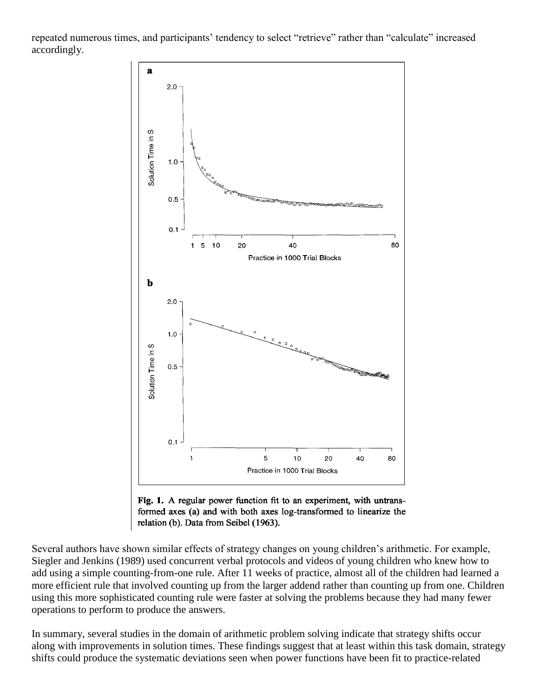repeated numerous times, and participants' tendency to select "retrieve" rather than "calculate" increased accordingly.



Fig. 1. A regular power function fit to an experiment, with untransformed axes (a) and with both axes log-transformed to linearize the relation (b). Data from Seibel (1963).

Several authors have shown similar effects of strategy changes on young children's arithmetic. For example, Siegler and Jenkins (1989) used concurrent verbal protocols and videos of young children who knew how to add using a simple counting-from-one rule. After 11 weeks of practice, almost all of the children had learned a more efficient rule that involved counting up from the larger addend rather than counting up from one. Children using this more sophisticated counting rule were faster at solving the problems because they had many fewer operations to perform to produce the answers.

In summary, several studies in the domain of arithmetic problem solving indicate that strategy shifts occur along with improvements in solution times. These findings suggest that at least within this task domain, strategy shifts could produce the systematic deviations seen when power functions have been fit to practice-related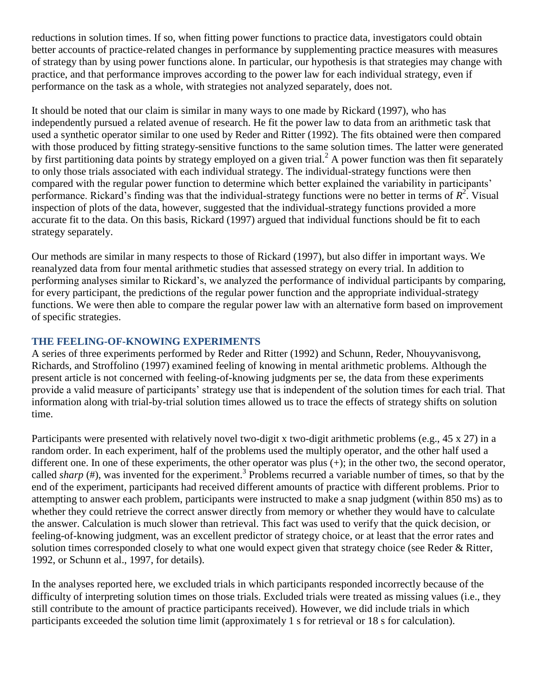reductions in solution times. If so, when fitting power functions to practice data, investigators could obtain better accounts of practice-related changes in performance by supplementing practice measures with measures of strategy than by using power functions alone. In particular, our hypothesis is that strategies may change with practice, and that performance improves according to the power law for each individual strategy, even if performance on the task as a whole, with strategies not analyzed separately, does not.

It should be noted that our claim is similar in many ways to one made by Rickard (1997), who has independently pursued a related avenue of research. He fit the power law to data from an arithmetic task that used a synthetic operator similar to one used by Reder and Ritter (1992). The fits obtained were then compared with those produced by fitting strategy-sensitive functions to the same solution times. The latter were generated by first partitioning data points by strategy employed on a given trial.<sup>2</sup> A power function was then fit separately to only those trials associated with each individual strategy. The individual-strategy functions were then compared with the regular power function to determine which better explained the variability in participants' performance. Rickard's finding was that the individual-strategy functions were no better in terms of  $R^2$ . Visual inspection of plots of the data, however, suggested that the individual-strategy functions provided a more accurate fit to the data. On this basis, Rickard (1997) argued that individual functions should be fit to each strategy separately.

Our methods are similar in many respects to those of Rickard (1997), but also differ in important ways. We reanalyzed data from four mental arithmetic studies that assessed strategy on every trial. In addition to performing analyses similar to Rickard's, we analyzed the performance of individual participants by comparing, for every participant, the predictions of the regular power function and the appropriate individual-strategy functions. We were then able to compare the regular power law with an alternative form based on improvement of specific strategies.

# **THE FEELING-OF-KNOWING EXPERIMENTS**

A series of three experiments performed by Reder and Ritter (1992) and Schunn, Reder, Nhouyvanisvong, Richards, and Stroffolino (1997) examined feeling of knowing in mental arithmetic problems. Although the present article is not concerned with feeling-of-knowing judgments per se, the data from these experiments provide a valid measure of participants' strategy use that is independent of the solution times for each trial. That information along with trial-by-trial solution times allowed us to trace the effects of strategy shifts on solution time.

Participants were presented with relatively novel two-digit x two-digit arithmetic problems (e.g., 45 x 27) in a random order. In each experiment, half of the problems used the multiply operator, and the other half used a different one. In one of these experiments, the other operator was plus (+); in the other two, the second operator, called *sharp* (#), was invented for the experiment.<sup>3</sup> Problems recurred a variable number of times, so that by the end of the experiment, participants had received different amounts of practice with different problems. Prior to attempting to answer each problem, participants were instructed to make a snap judgment (within 850 ms) as to whether they could retrieve the correct answer directly from memory or whether they would have to calculate the answer. Calculation is much slower than retrieval. This fact was used to verify that the quick decision, or feeling-of-knowing judgment, was an excellent predictor of strategy choice, or at least that the error rates and solution times corresponded closely to what one would expect given that strategy choice (see Reder & Ritter, 1992, or Schunn et al., 1997, for details).

In the analyses reported here, we excluded trials in which participants responded incorrectly because of the difficulty of interpreting solution times on those trials. Excluded trials were treated as missing values (i.e., they still contribute to the amount of practice participants received). However, we did include trials in which participants exceeded the solution time limit (approximately 1 s for retrieval or 18 s for calculation).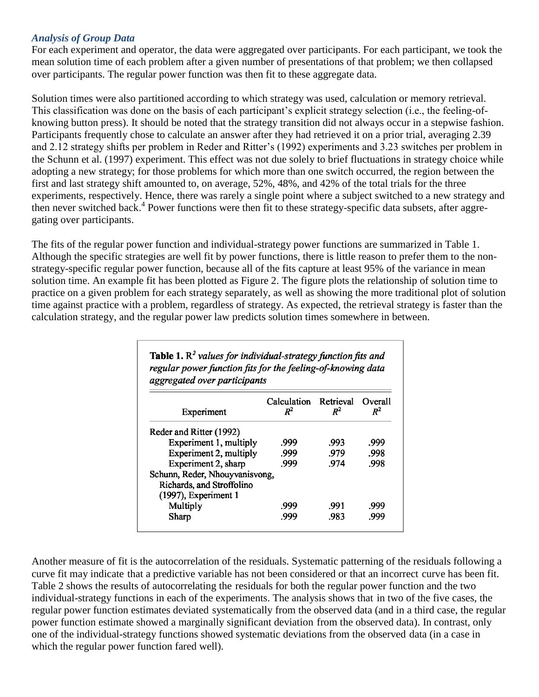# *Analysis of Group Data*

For each experiment and operator, the data were aggregated over participants. For each participant, we took the mean solution time of each problem after a given number of presentations of that problem; we then collapsed over participants. The regular power function was then fit to these aggregate data.

Solution times were also partitioned according to which strategy was used, calculation or memory retrieval. This classification was done on the basis of each participant's explicit strategy selection (i.e., the feeling-ofknowing button press). It should be noted that the strategy transition did not always occur in a stepwise fashion. Participants frequently chose to calculate an answer after they had retrieved it on a prior trial, averaging 2.39 and 2.12 strategy shifts per problem in Reder and Ritter's (1992) experiments and 3.23 switches per problem in the Schunn et al. (1997) experiment. This effect was not due solely to brief fluctuations in strategy choice while adopting a new strategy; for those problems for which more than one switch occurred, the region between the first and last strategy shift amounted to, on average, 52%, 48%, and 42% of the total trials for the three experiments, respectively. Hence, there was rarely a single point where a subject switched to a new strategy and then never switched back.<sup>4</sup> Power functions were then fit to these strategy-specific data subsets, after aggregating over participants.

The fits of the regular power function and individual-strategy power functions are summarized in Table 1. Although the specific strategies are well fit by power functions, there is little reason to prefer them to the nonstrategy-specific regular power function, because all of the fits capture at least 95% of the variance in mean solution time. An example fit has been plotted as Figure 2. The figure plots the relationship of solution time to practice on a given problem for each strategy separately, as well as showing the more traditional plot of solution time against practice with a problem, regardless of strategy. As expected, the retrieval strategy is faster than the calculation strategy, and the regular power law predicts solution times somewhere in between.

| Experiment                     | Calculation Retrieval Overall<br>$R^2$ | $R^2$ | $R^2$ |
|--------------------------------|----------------------------------------|-------|-------|
| Reder and Ritter (1992)        |                                        |       |       |
| Experiment 1, multiply         | .999                                   | -993  | .999  |
| Experiment 2, multiply         | .999                                   | -979  | .998  |
| Experiment 2, sharp            | .999                                   | .974  | .998  |
| Schunn, Reder, Nhouyvanisvong, |                                        |       |       |
| Richards, and Stroffolino      |                                        |       |       |
| $(1997)$ , Experiment 1        |                                        |       |       |
| Multiply                       | .999                                   | .991  | .999  |
| Sharp                          | .999                                   | .983  | .999  |

Another measure of fit is the autocorrelation of the residuals. Systematic patterning of the residuals following a curve fit may indicate that a predictive variable has not been considered or that an incorrect curve has been fit. Table 2 shows the results of autocorrelating the residuals for both the regular power function and the two individual-strategy functions in each of the experiments. The analysis shows that in two of the five cases, the regular power function estimates deviated systematically from the observed data (and in a third case, the regular power function estimate showed a marginally significant deviation from the observed data). In contrast, only one of the individual-strategy functions showed systematic deviations from the observed data (in a case in which the regular power function fared well).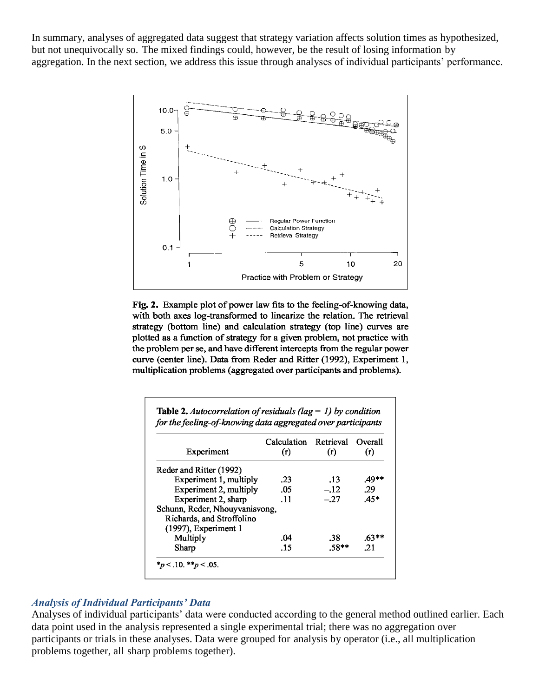In summary, analyses of aggregated data suggest that strategy variation affects solution times as hypothesized, but not unequivocally so. The mixed findings could, however, be the result of losing information by aggregation. In the next section, we address this issue through analyses of individual participants' performance.



Fig. 2. Example plot of power law fits to the feeling-of-knowing data, with both axes log-transformed to linearize the relation. The retrieval strategy (bottom line) and calculation strategy (top line) curves are plotted as a function of strategy for a given problem, not practice with the problem per se, and have different intercepts from the regular power curve (center line). Data from Reder and Ritter (1992), Experiment 1, multiplication problems (aggregated over participants and problems).

|                                | Calculation Retrieval Overall |        |         |
|--------------------------------|-------------------------------|--------|---------|
| Experiment                     | (r)                           | (r)    | (r)     |
| Reder and Ritter (1992)        |                               |        |         |
| Experiment 1, multiply         | .23                           | .13    | .49**   |
| Experiment 2, multiply         | .05                           | $-.12$ | .29     |
| Experiment 2, sharp            | .11                           | $-.27$ | $.45*$  |
| Schunn, Reder, Nhouyvanisvong, |                               |        |         |
| Richards, and Stroffolino      |                               |        |         |
| $(1997)$ , Experiment 1        |                               |        |         |
| Multiply                       | .04                           | .38    | $.63**$ |
| Sharp                          | .15                           | .58**  | .21     |

### *Analysis of Individual Participants' Data*

Analyses of individual participants' data were conducted according to the general method outlined earlier. Each data point used in the analysis represented a single experimental trial; there was no aggregation over participants or trials in these analyses. Data were grouped for analysis by operator (i.e., all multiplication problems together, all sharp problems together).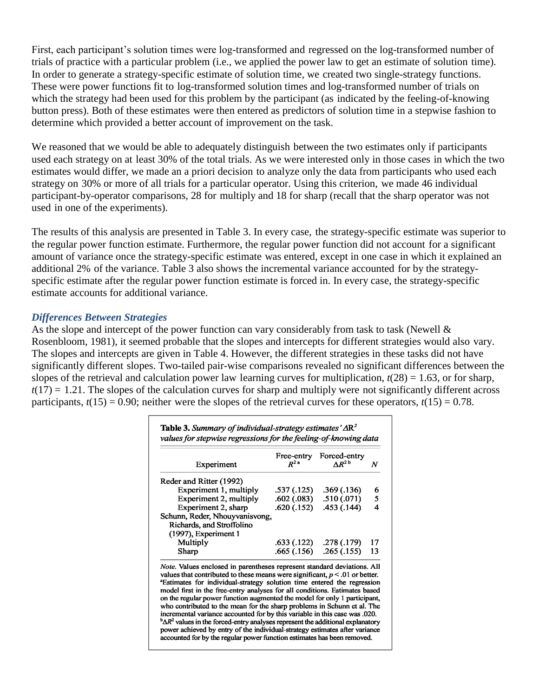First, each participant's solution times were log-transformed and regressed on the log-transformed number of trials of practice with a particular problem (i.e., we applied the power law to get an estimate of solution time). In order to generate a strategy-specific estimate of solution time, we created two single-strategy functions. These were power functions fit to log-transformed solution times and log-transformed number of trials on which the strategy had been used for this problem by the participant (as indicated by the feeling-of-knowing button press). Both of these estimates were then entered as predictors of solution time in a stepwise fashion to determine which provided a better account of improvement on the task.

We reasoned that we would be able to adequately distinguish between the two estimates only if participants used each strategy on at least 30% of the total trials. As we were interested only in those cases in which the two estimates would differ, we made an a priori decision to analyze only the data from participants who used each strategy on 30% or more of all trials for a particular operator. Using this criterion, we made 46 individual participant-by-operator comparisons, 28 for multiply and 18 for sharp (recall that the sharp operator was not used in one of the experiments).

The results of this analysis are presented in Table 3. In every case, the strategy-specific estimate was superior to the regular power function estimate. Furthermore, the regular power function did not account for a significant amount of variance once the strategy-specific estimate was entered, except in one case in which it explained an additional 2% of the variance. Table 3 also shows the incremental variance accounted for by the strategyspecific estimate after the regular power function estimate is forced in. In every case, the strategy-specific estimate accounts for additional variance.

#### *Differences Between Strategies*

As the slope and intercept of the power function can vary considerably from task to task (Newell & Rosenbloom, 1981), it seemed probable that the slopes and intercepts for different strategies would also vary. The slopes and intercepts are given in Table 4. However, the different strategies in these tasks did not have significantly different slopes. Two-tailed pair-wise comparisons revealed no significant differences between the slopes of the retrieval and calculation power law learning curves for multiplication,  $t(28) = 1.63$ , or for sharp,  $t(17) = 1.21$ . The slopes of the calculation curves for sharp and multiply were not significantly different across participants,  $t(15) = 0.90$ ; neither were the slopes of the retrieval curves for these operators,  $t(15) = 0.78$ .

| Experiment                                                                                                                                                                                                                                                                                                                                                                                                                                                                                                                                                        | Free-entry<br>$R^2$ a | Forced-entry<br>$\triangle R^2$ | N  |
|-------------------------------------------------------------------------------------------------------------------------------------------------------------------------------------------------------------------------------------------------------------------------------------------------------------------------------------------------------------------------------------------------------------------------------------------------------------------------------------------------------------------------------------------------------------------|-----------------------|---------------------------------|----|
| Reder and Ritter (1992)                                                                                                                                                                                                                                                                                                                                                                                                                                                                                                                                           |                       |                                 |    |
| Experiment 1, multiply                                                                                                                                                                                                                                                                                                                                                                                                                                                                                                                                            | .537 (.125)           | .369(.136)                      | 6  |
| Experiment 2, multiply                                                                                                                                                                                                                                                                                                                                                                                                                                                                                                                                            | .602(.083)            | .510(.071)                      | 5  |
| Experiment 2, sharp                                                                                                                                                                                                                                                                                                                                                                                                                                                                                                                                               | .620 (.152)           | .453 (.144)                     | 4  |
| Schunn, Reder, Nhouyvanisvong,                                                                                                                                                                                                                                                                                                                                                                                                                                                                                                                                    |                       |                                 |    |
| Richards, and Stroffolino                                                                                                                                                                                                                                                                                                                                                                                                                                                                                                                                         |                       |                                 |    |
| $(1997)$ , Experiment 1                                                                                                                                                                                                                                                                                                                                                                                                                                                                                                                                           |                       |                                 |    |
| Multiply                                                                                                                                                                                                                                                                                                                                                                                                                                                                                                                                                          | .633(.122)            | .278(.179)                      | 17 |
| Sharp                                                                                                                                                                                                                                                                                                                                                                                                                                                                                                                                                             | .665 (.156)           | .265(.155)                      | 13 |
| Note. Values enclosed in parentheses represent standard deviations. All<br>values that contributed to these means were significant, $p < 01$ or better.<br><sup>a</sup> Estimates for individual-strategy solution time entered the regression<br>model first in the free-entry analyses for all conditions. Estimates based<br>on the regular power function augmented the model for only 1 participant,<br>who contributed to the mean for the sharp problems in Schunn et al. The<br>incremental variance accounted for by this variable in this case was 020. |                       |                                 |    |

power achieved by entry of the individual-strategy estimates after variance accounted for by the regular power function estimates has been removed.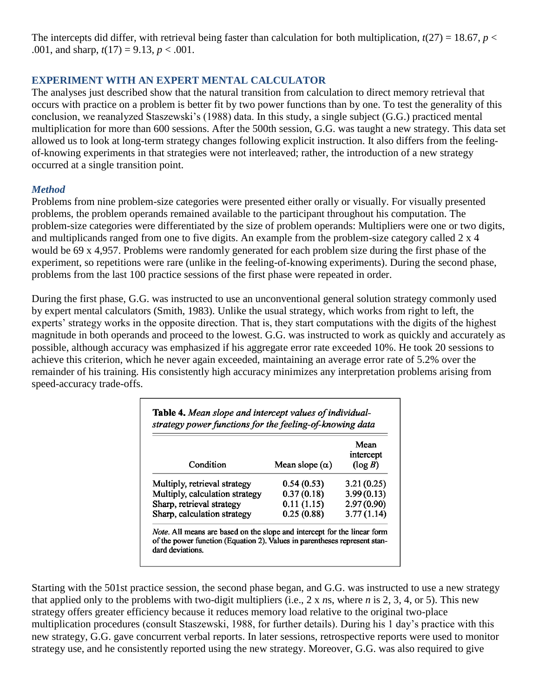The intercepts did differ, with retrieval being faster than calculation for both multiplication,  $t(27) = 18.67$ ,  $p <$ .001, and sharp,  $t(17) = 9.13$ ,  $p < .001$ .

# **EXPERIMENT WITH AN EXPERT MENTAL CALCULATOR**

The analyses just described show that the natural transition from calculation to direct memory retrieval that occurs with practice on a problem is better fit by two power functions than by one. To test the generality of this conclusion, we reanalyzed Staszewski's (1988) data. In this study, a single subject (G.G.) practiced mental multiplication for more than 600 sessions. After the 500th session, G.G. was taught a new strategy. This data set allowed us to look at long-term strategy changes following explicit instruction. It also differs from the feelingof-knowing experiments in that strategies were not interleaved; rather, the introduction of a new strategy occurred at a single transition point.

# *Method*

Problems from nine problem-size categories were presented either orally or visually. For visually presented problems, the problem operands remained available to the participant throughout his computation. The problem-size categories were differentiated by the size of problem operands: Multipliers were one or two digits, and multiplicands ranged from one to five digits. An example from the problem-size category called 2 x 4 would be 69 x 4,957. Problems were randomly generated for each problem size during the first phase of the experiment, so repetitions were rare (unlike in the feeling-of-knowing experiments). During the second phase, problems from the last 100 practice sessions of the first phase were repeated in order.

During the first phase, G.G. was instructed to use an unconventional general solution strategy commonly used by expert mental calculators (Smith, 1983). Unlike the usual strategy, which works from right to left, the experts' strategy works in the opposite direction. That is, they start computations with the digits of the highest magnitude in both operands and proceed to the lowest. G.G. was instructed to work as quickly and accurately as possible, although accuracy was emphasized if his aggregate error rate exceeded 10%. He took 20 sessions to achieve this criterion, which he never again exceeded, maintaining an average error rate of 5.2% over the remainder of his training. His consistently high accuracy minimizes any interpretation problems arising from speed-accuracy trade-offs.

| Condition                      | Mean slope $(\alpha)$ | Mean<br>intercept<br>$(\log B)$ |
|--------------------------------|-----------------------|---------------------------------|
| Multiply, retrieval strategy   | 0.54(0.53)            | 3.21(0.25)                      |
| Multiply, calculation strategy | 0.37(0.18)            | 3.99(0.13)                      |
| Sharp, retrieval strategy      | 0.11(1.15)            | 2.97(0.90)                      |
| Sharp, calculation strategy    | 0.25(0.88)            | 3.77(1.14)                      |

Starting with the 501st practice session, the second phase began, and G.G. was instructed to use a new strategy that applied only to the problems with two-digit multipliers (i.e., 2 x *n*s, where *n* is 2, 3, 4, or 5). This new strategy offers greater efficiency because it reduces memory load relative to the original two-place multiplication procedures (consult Staszewski, 1988, for further details). During his 1 day's practice with this new strategy, G.G. gave concurrent verbal reports. In later sessions, retrospective reports were used to monitor strategy use, and he consistently reported using the new strategy. Moreover, G.G. was also required to give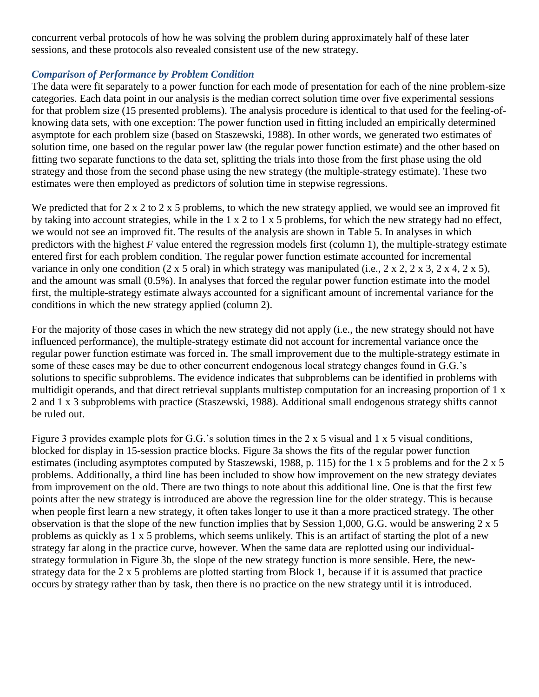concurrent verbal protocols of how he was solving the problem during approximately half of these later sessions, and these protocols also revealed consistent use of the new strategy.

# *Comparison of Performance by Problem Condition*

The data were fit separately to a power function for each mode of presentation for each of the nine problem-size categories. Each data point in our analysis is the median correct solution time over five experimental sessions for that problem size (15 presented problems). The analysis procedure is identical to that used for the feeling-ofknowing data sets, with one exception: The power function used in fitting included an empirically determined asymptote for each problem size (based on Staszewski, 1988). In other words, we generated two estimates of solution time, one based on the regular power law (the regular power function estimate) and the other based on fitting two separate functions to the data set, splitting the trials into those from the first phase using the old strategy and those from the second phase using the new strategy (the multiple-strategy estimate). These two estimates were then employed as predictors of solution time in stepwise regressions.

We predicted that for 2 x 2 to 2 x 5 problems, to which the new strategy applied, we would see an improved fit by taking into account strategies, while in the 1 x 2 to 1 x 5 problems, for which the new strategy had no effect, we would not see an improved fit. The results of the analysis are shown in Table 5. In analyses in which predictors with the highest *F* value entered the regression models first (column 1), the multiple-strategy estimate entered first for each problem condition. The regular power function estimate accounted for incremental variance in only one condition (2 x 5 oral) in which strategy was manipulated (i.e., 2 x 2, 2 x 3, 2 x 4, 2 x 5), and the amount was small (0.5%). In analyses that forced the regular power function estimate into the model first, the multiple-strategy estimate always accounted for a significant amount of incremental variance for the conditions in which the new strategy applied (column 2).

For the majority of those cases in which the new strategy did not apply (i.e., the new strategy should not have influenced performance), the multiple-strategy estimate did not account for incremental variance once the regular power function estimate was forced in. The small improvement due to the multiple-strategy estimate in some of these cases may be due to other concurrent endogenous local strategy changes found in G.G.'s solutions to specific subproblems. The evidence indicates that subproblems can be identified in problems with multidigit operands, and that direct retrieval supplants multistep computation for an increasing proportion of 1 x 2 and 1 x 3 subproblems with practice (Staszewski, 1988). Additional small endogenous strategy shifts cannot be ruled out.

Figure 3 provides example plots for G.G.'s solution times in the 2 x 5 visual and 1 x 5 visual conditions, blocked for display in 15-session practice blocks. Figure 3a shows the fits of the regular power function estimates (including asymptotes computed by Staszewski, 1988, p. 115) for the 1 x 5 problems and for the 2 x 5 problems. Additionally, a third line has been included to show how improvement on the new strategy deviates from improvement on the old. There are two things to note about this additional line. One is that the first few points after the new strategy is introduced are above the regression line for the older strategy. This is because when people first learn a new strategy, it often takes longer to use it than a more practiced strategy. The other observation is that the slope of the new function implies that by Session 1,000, G.G. would be answering 2 x 5 problems as quickly as 1 x 5 problems, which seems unlikely. This is an artifact of starting the plot of a new strategy far along in the practice curve, however. When the same data are replotted using our individualstrategy formulation in Figure 3b, the slope of the new strategy function is more sensible. Here, the newstrategy data for the 2 x 5 problems are plotted starting from Block 1, because if it is assumed that practice occurs by strategy rather than by task, then there is no practice on the new strategy until it is introduced.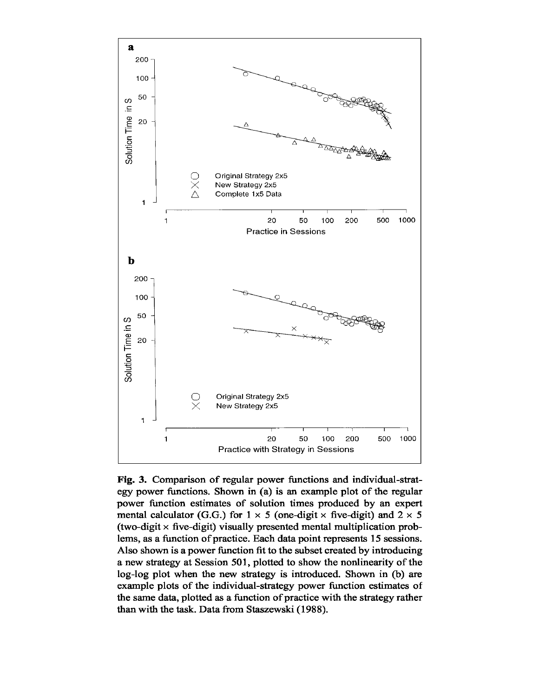

Fig. 3. Comparison of regular power functions and individual-strategy power functions. Shown in (a) is an example plot of the regular power function estimates of solution times produced by an expert mental calculator (G.G.) for  $1 \times 5$  (one-digit  $\times$  five-digit) and  $2 \times 5$ (two-digit  $\times$  five-digit) visually presented mental multiplication problems, as a function of practice. Each data point represents 15 sessions. Also shown is a power function fit to the subset created by introducing a new strategy at Session 501, plotted to show the nonlinearity of the log-log plot when the new strategy is introduced. Shown in (b) are example plots of the individual-strategy power function estimates of the same data, plotted as a function of practice with the strategy rather than with the task. Data from Staszewski (1988).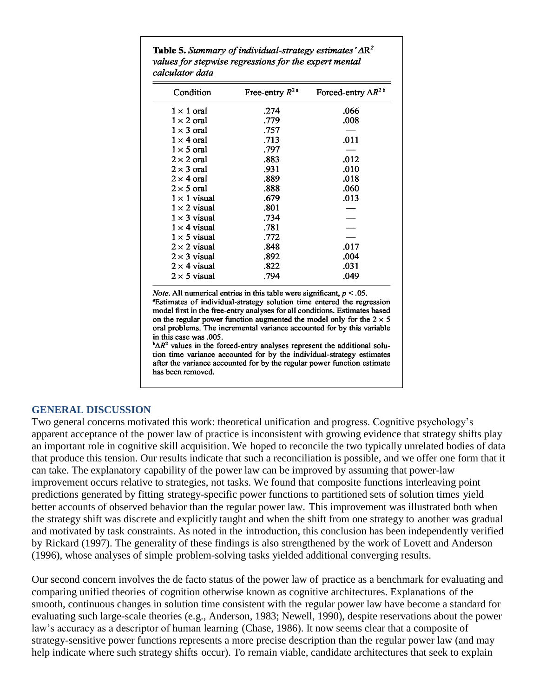| Condition           | Free-entry $R^{2a}$ | Forced-entry $\Delta R^{\text{2b}}$ |
|---------------------|---------------------|-------------------------------------|
| $1 \times 1$ oral   | .274                | .066                                |
| $1 \times 2$ oral   | .779                | .008                                |
| $1 \times 3$ oral   | .757                |                                     |
| $1 \times 4$ oral   | .713                | .011                                |
| $1 \times 5$ oral   | .797                |                                     |
| $2 \times 2$ oral   | .883                | .012                                |
| $2 \times 3$ oral   | .931                | .010                                |
| $2 \times 4$ oral   | .889                | .018                                |
| $2 \times 5$ oral   | .888                | .060                                |
| $1 \times 1$ visual | .679                | .013                                |
| $1 \times 2$ visual | .801                |                                     |
| $1 \times 3$ visual | .734                |                                     |
| $1 \times 4$ visual | .781                |                                     |
| $1 \times 5$ visual | .772                |                                     |
| $2 \times 2$ visual | .848                | .017                                |
| $2 \times 3$ visual | .892                | .004                                |
| $2 \times 4$ visual | .822                | .031                                |
| $2 \times 5$ visual | .794                | .049                                |

*Note.* All numerical entries in this table were significant,  $p < .05$ . <sup>a</sup>Estimates of individual-strategy solution time entered the regression model first in the free-entry analyses for all conditions. Estimates based on the regular power function augmented the model only for the  $2 \times 5$ oral problems. The incremental variance accounted for by this variable in this case was .005.

 ${}^{\text{b}}\Delta R^2$  values in the forced-entry analyses represent the additional solution time variance accounted for by the individual-strategy estimates after the variance accounted for by the regular power function estimate has been removed.

#### **GENERAL DISCUSSION**

Two general concerns motivated this work: theoretical unification and progress. Cognitive psychology's apparent acceptance of the power law of practice is inconsistent with growing evidence that strategy shifts play an important role in cognitive skill acquisition. We hoped to reconcile the two typically unrelated bodies of data that produce this tension. Our results indicate that such a reconciliation is possible, and we offer one form that it can take. The explanatory capability of the power law can be improved by assuming that power-law improvement occurs relative to strategies, not tasks. We found that composite functions interleaving point predictions generated by fitting strategy-specific power functions to partitioned sets of solution times yield better accounts of observed behavior than the regular power law. This improvement was illustrated both when the strategy shift was discrete and explicitly taught and when the shift from one strategy to another was gradual and motivated by task constraints. As noted in the introduction, this conclusion has been independently verified by Rickard (1997). The generality of these findings is also strengthened by the work of Lovett and Anderson (1996), whose analyses of simple problem-solving tasks yielded additional converging results.

Our second concern involves the de facto status of the power law of practice as a benchmark for evaluating and comparing unified theories of cognition otherwise known as cognitive architectures. Explanations of the smooth, continuous changes in solution time consistent with the regular power law have become a standard for evaluating such large-scale theories (e.g., Anderson, 1983; Newell, 1990), despite reservations about the power law's accuracy as a descriptor of human learning (Chase, 1986). It now seems clear that a composite of strategy-sensitive power functions represents a more precise description than the regular power law (and may help indicate where such strategy shifts occur). To remain viable, candidate architectures that seek to explain

Table 5. Summary of individual-strategy estimates'  $\Delta R^2$ values for stepwise regressions for the expert mental calculator data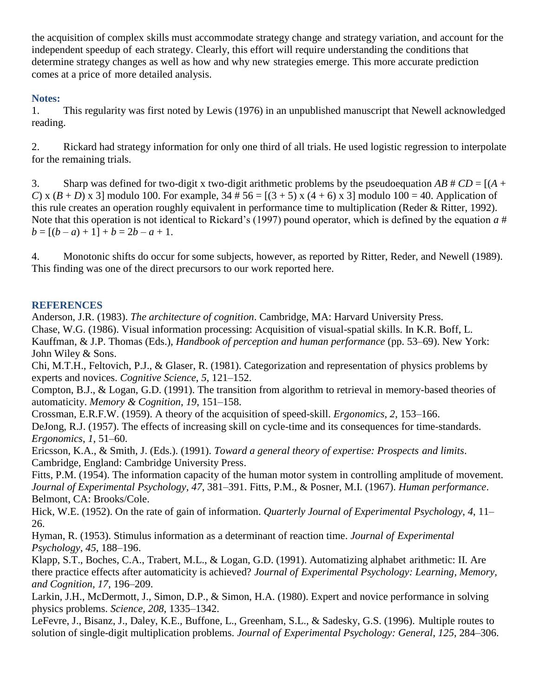the acquisition of complex skills must accommodate strategy change and strategy variation, and account for the independent speedup of each strategy. Clearly, this effort will require understanding the conditions that determine strategy changes as well as how and why new strategies emerge. This more accurate prediction comes at a price of more detailed analysis.

# **Notes:**

1. This regularity was first noted by Lewis (1976) in an unpublished manuscript that Newell acknowledged reading.

2. Rickard had strategy information for only one third of all trials. He used logistic regression to interpolate for the remaining trials.

3. Sharp was defined for two-digit x two-digit arithmetic problems by the pseudoequation  $AB \# CD = [(A + B) \cdot C]$ *C*) x  $(B + D)$  x 3] modulo 100. For example, 34 # 56 =  $[(3 + 5)$  x  $(4 + 6)$  x 3] modulo 100 = 40. Application of this rule creates an operation roughly equivalent in performance time to multiplication (Reder & Ritter, 1992). Note that this operation is not identical to Rickard's (1997) pound operator, which is defined by the equation *a* #  $b = [(b - a) + 1] + b = 2b - a + 1.$ 

4. Monotonic shifts do occur for some subjects, however, as reported by Ritter, Reder, and Newell (1989). This finding was one of the direct precursors to our work reported here.

# **REFERENCES**

Anderson, J.R. (1983). *The architecture of cognition*. Cambridge, MA: Harvard University Press. Chase, W.G. (1986). Visual information processing: Acquisition of visual-spatial skills. In K.R. Boff, L. Kauffman, & J.P. Thomas (Eds.), *Handbook of perception and human performance* (pp. 53–69). New York: John Wiley & Sons.

Chi, M.T.H., Feltovich, P.J., & Glaser, R. (1981). Categorization and representation of physics problems by experts and novices. *Cognitive Science*, *5*, 121–152.

Compton, B.J., & Logan, G.D. (1991). The transition from algorithm to retrieval in memory-based theories of automaticity. *Memory & Cognition*, *19*, 151–158.

Crossman, E.R.F.W. (1959). A theory of the acquisition of speed-skill. *Ergonomics*, *2*, 153–166. DeJong, R.J. (1957). The effects of increasing skill on cycle-time and its consequences for time-standards. *Ergonomics*, *1*, 51–60.

Ericsson, K.A., & Smith, J. (Eds.). (1991). *Toward a general theory of expertise: Prospects and limits*. Cambridge, England: Cambridge University Press.

Fitts, P.M. (1954). The information capacity of the human motor system in controlling amplitude of movement. *Journal of Experimental Psychology*, *47*, 381–391. Fitts, P.M., & Posner, M.I. (1967). *Human performance*. Belmont, CA: Brooks/Cole.

Hick, W.E. (1952). On the rate of gain of information. *Quarterly Journal of Experimental Psychology*, *4*, 11– 26.

Hyman, R. (1953). Stimulus information as a determinant of reaction time. *Journal of Experimental Psychology*, *45*, 188–196.

Klapp, S.T., Boches, C.A., Trabert, M.L., & Logan, G.D. (1991). Automatizing alphabet arithmetic: II. Are there practice effects after automaticity is achieved? *Journal of Experimental Psychology: Learning, Memory, and Cognition, 17*, 196–209.

Larkin, J.H., McDermott, J., Simon, D.P., & Simon, H.A. (1980). Expert and novice performance in solving physics problems. *Science, 208,* 1335–1342.

LeFevre, J., Bisanz, J., Daley, K.E., Buffone, L., Greenham, S.L., & Sadesky, G.S. (1996). Multiple routes to solution of single-digit multiplication problems. *Journal of Experimental Psychology: General*, *125*, 284–306.